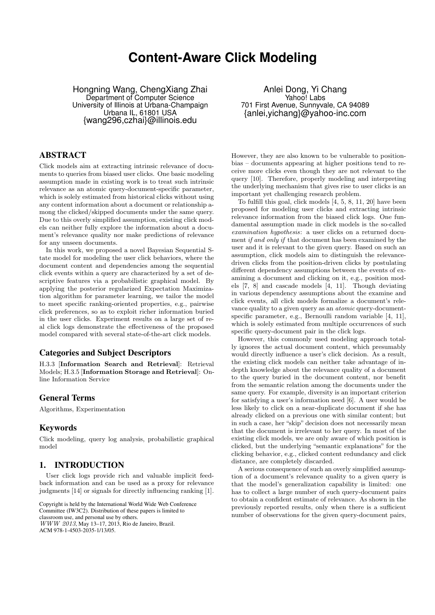# **Content-Aware Click Modeling**

Hongning Wang, ChengXiang Zhai Department of Computer Science University of Illinois at Urbana-Champaign Urbana IL, 61801 USA {wang296,czhai}@illinois.edu

# ABSTRACT

Click models aim at extracting intrinsic relevance of documents to queries from biased user clicks. One basic modeling assumption made in existing work is to treat such intrinsic relevance as an atomic query-document-specific parameter, which is solely estimated from historical clicks without using any content information about a document or relationship among the clicked/skipped documents under the same query. Due to this overly simplified assumption, existing click models can neither fully explore the information about a document's relevance quality nor make predictions of relevance for any unseen documents.

In this work, we proposed a novel Bayesian Sequential State model for modeling the user click behaviors, where the document content and dependencies among the sequential click events within a query are characterized by a set of descriptive features via a probabilistic graphical model. By applying the posterior regularized Expectation Maximization algorithm for parameter learning, we tailor the model to meet specific ranking-oriented properties, e.g., pairwise click preferences, so as to exploit richer information buried in the user clicks. Experiment results on a large set of real click logs demonstrate the effectiveness of the proposed model compared with several state-of-the-art click models.

# Categories and Subject Descriptors

H.3.3 [**Information Search and Retrieval**]: Retrieval Models; H.3.5 [**Information Storage and Retrieval**]: Online Information Service

# General Terms

Algorithms, Experimentation

# Keywords

Click modeling, query log analysis, probabilistic graphical model

# 1. INTRODUCTION

User click logs provide rich and valuable implicit feedback information and can be used as a proxy for relevance judgments [14] or signals for directly influencing ranking [1].

Copyright is held by the International World Wide Web Conference Committee (IW3C2). Distribution of these papers is limited to classroom use, and personal use by others. *WWW 2013*, May 13–17, 2013, Rio de Janeiro, Brazil. ACM 978-1-4503-2035-1/13/05.

Anlei Dong, Yi Chang Yahoo! Labs 701 First Avenue, Sunnyvale, CA 94089 {anlei,yichang}@yahoo-inc.com

However, they are also known to be vulnerable to positionbias – documents appearing at higher positions tend to receive more clicks even though they are not relevant to the query [10]. Therefore, properly modeling and interpreting the underlying mechanism that gives rise to user clicks is an important yet challenging research problem.

To fulfill this goal, click models [4, 5, 8, 11, 20] have been proposed for modeling user clicks and extracting intrinsic relevance information from the biased click logs. One fundamental assumption made in click models is the so-called *examination hypothesis*: a user clicks on a returned document *if and only if* that document has been examined by the user and it is relevant to the given query. Based on such an assumption, click models aim to distinguish the relevancedriven clicks from the position-driven clicks by postulating different dependency assumptions between the events of examining a document and clicking on it, e.g., position models [7, 8] and cascade models [4, 11]. Though deviating in various dependency assumptions about the examine and click events, all click models formalize a document's relevance quality to a given query as an *atomic* query-documentspecific parameter, e.g., Bernoulli random variable [4, 11], which is solely estimated from multiple occurrences of such specific query-document pair in the click logs.

However, this commonly used modeling approach totally ignores the actual document content, which presumably would directly influence a user's click decision. As a result, the existing click models can neither take advantage of indepth knowledge about the relevance quality of a document to the query buried in the document content, nor benefit from the semantic relation among the documents under the same query. For example, diversity is an important criterion for satisfying a user's information need [6]. A user would be less likely to click on a near-duplicate document if she has already clicked on a previous one with similar content; but in such a case, her "skip" decision does not necessarily mean that the document is irrelevant to her query. In most of the existing click models, we are only aware of which position is clicked, but the underlying "semantic explanations" for the clicking behavior, e.g., clicked content redundancy and click distance, are completely discarded.

A serious consequence of such an overly simplified assumption of a document's relevance quality to a given query is that the model's generalization capability is limited: one has to collect a large number of such query-document pairs to obtain a confident estimate of relevance. As shown in the previously reported results, only when there is a sufficient number of observations for the given query-document pairs,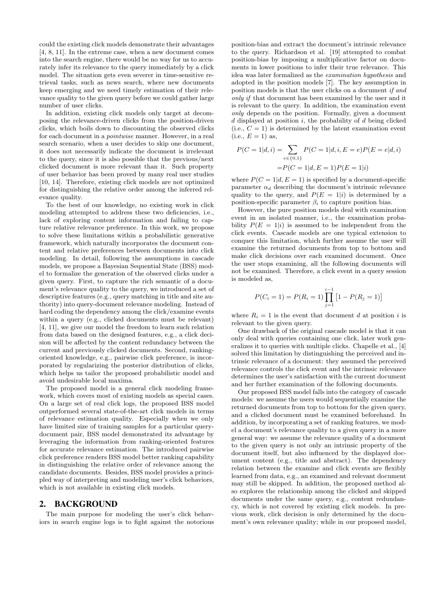could the existing click models demonstrate their advantages [4, 8, 11]. In the extreme case, when a new document comes into the search engine, there would be no way for us to accurately infer its relevance to the query immediately by a click model. The situation gets even severer in time-sensitive retrieval tasks, such as news search, where new documents keep emerging and we need timely estimation of their relevance quality to the given query before we could gather large number of user clicks.

In addition, existing click models only target at decomposing the relevance-driven clicks from the position-driven clicks, which boils down to discounting the observed clicks for each document in a *pointwise* manner. However, in a real search scenario, when a user decides to skip one document, it does not necessarily indicate the document is irrelevant to the query, since it is also possible that the previous/next clicked document is more relevant than it. Such property of user behavior has been proved by many real user studies [10, 14]. Therefore, existing click models are not optimized for distinguishing the relative order among the inferred relevance quality.

To the best of our knowledge, no existing work in click modeling attempted to address these two deficiencies, i.e., lack of exploring content information and failing to capture relative relevance preference. In this work, we propose to solve these limitations within a probabilistic generative framework, which naturally incorporates the document content and relative preferences between documents into click modeling. In detail, following the assumptions in cascade models, we propose a Bayesian Sequential State (BSS) model to formalize the generation of the observed clicks under a given query. First, to capture the rich semantic of a document's relevance quality to the query, we introduced a set of descriptive features (e.g., query matching in title and site authority) into query-document relevance modeling. Instead of hard coding the dependency among the click/examine events within a query (e.g., clicked documents must be relevant) [4, 11], we give our model the freedom to learn such relation from data based on the designed features, e.g., a click decision will be affected by the content redundancy between the current and previously clicked documents. Second, rankingoriented knowledge, e.g., pairwise click preference, is incorporated by regularizing the posterior distribution of clicks, which helps us tailor the proposed probabilistic model and avoid undesirable local maxima.

The proposed model is a general click modeling framework, which covers most of existing models as special cases. On a large set of real click logs, the proposed BSS model outperformed several state-of-the-art click models in terms of relevance estimation quality. Especially when we only have limited size of training samples for a particular querydocument pair, BSS model demonstrated its advantage by leveraging the information from ranking-oriented features for accurate relevance estimation. The introduced pairwise click preference renders BSS model better ranking capability in distinguishing the relative order of relevance among the candidate documents. Besides, BSS model provides a principled way of interpreting and modeling user's click behaviors, which is not available in existing click models.

#### 2. BACKGROUND

The main purpose for modeling the user's click behaviors in search engine logs is to fight against the notorious

position-bias and extract the document's intrinsic relevance to the query. Richardson et al. [19] attempted to combat position-bias by imposing a multiplicative factor on documents in lower positions to infer their true relevance. This idea was later formalized as the *examination hypothesis* and adopted in the position models [7]. The key assumption in position models is that the user clicks on a document *if and only if* that document has been examined by the user and it is relevant to the query. In addition, the examination event *only* depends on the position. Formally, given a document *d* displayed at position *i*, the probability of *d* being clicked (i.e.,  $C = 1$ ) is determined by the latent examination event  $(i.e., E = 1)$  as,

$$
P(C = 1|d, i) = \sum_{e \in \{0, 1\}} P(C = 1|d, i, E = e) P(E = e|d, i)
$$

$$
= P(C = 1|d, E = 1) P(E = 1|i)
$$

where  $P(C = 1 | d, E = 1)$  is specified by a document-specific parameter  $\alpha_d$  describing the document's intrinsic relevance quality to the query, and  $P(E = 1|i)$  is determined by a position-specific parameter  $\beta_i$  to capture position bias.

However, the pure position models deal with examination event in an isolated manner, i.e., the examination probability  $P(E = 1|i)$  is assumed to be independent from the click events. Cascade models are one typical extension to conquer this limitation, which further assume the user will examine the returned documents from top to bottom and make click decisions over each examined document. Once the user stops examining, all the following documents will not be examined. Therefore, a click event in a query session is modeled as,

$$
P(C_i = 1) = P(R_i = 1) \prod_{j=1}^{i-1} [1 - P(R_j = 1)]
$$

where  $R_i = 1$  is the event that document *d* at position *i* is relevant to the given query.

One drawback of the original cascade model is that it can only deal with queries containing one click, later work generalizes it to queries with multiple clicks. Chapelle et al., [4] solved this limitation by distinguishing the perceived and intrinsic relevance of a document: they assumed the perceived relevance controls the click event and the intrinsic relevance determines the user's satisfaction with the current document and her further examination of the following documents.

Our proposed BSS model falls into the category of cascade models: we assume the users would sequentially examine the returned documents from top to bottom for the given query, and a clicked document must be examined beforehand. In addition, by incorporating a set of ranking features, we model a document's relevance quality to a given query in a more general way: we assume the relevance quality of a document to the given query is not only an intrinsic property of the document itself, but also influenced by the displayed document content (e.g., title and abstract). The dependency relation between the examine and click events are flexibly learned from data, e.g., an examined and relevant document may still be skipped. In addition, the proposed method also explores the relationship among the clicked and skipped documents under the same query, e.g., content redundancy, which is not covered by existing click models. In previous work, click decision is only determined by the document's own relevance quality; while in our proposed model,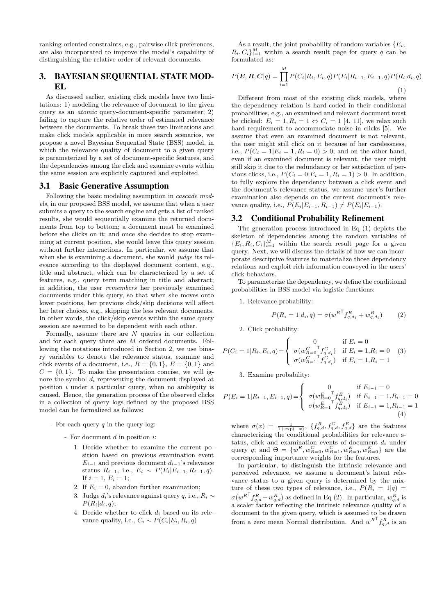ranking-oriented constraints, e.g., pairwise click preferences, are also incorporated to improve the model's capability of distinguishing the relative order of relevant documents.

# 3. BAYESIAN SEQUENTIAL STATE MOD-EL

As discussed earlier, existing click models have two limitations: 1) modeling the relevance of document to the given query as an *atomic* query-document-specific parameter; 2) failing to capture the relative order of estimated relevance between the documents. To break these two limitations and make click models applicable in more search scenarios, we propose a novel Bayesian Sequential State (BSS) model, in which the relevance quality of document to a given query is parameterized by a set of document-specific features, and the dependencies among the click and examine events within the same session are explicitly captured and exploited.

#### 3.1 Basic Generative Assumption

Following the basic modeling assumption in *cascade models*, in our proposed BSS model, we assume that when a user submits a query to the search engine and gets a list of ranked results, she would sequentially examine the returned documents from top to bottom; a document must be examined before she clicks on it; and once she decides to stop examining at current position, she would leave this query session without further interactions. In particular, we assume that when she is examining a document, she would *judge* its relevance according to the displayed document content, e.g., title and abstract, which can be characterized by a set of features, e.g., query term matching in title and abstract; in addition, the user *remembers* her previously examined documents under this query, so that when she moves onto lower positions, her previous click/skip decisions will affect her later choices, e.g., skipping the less relevant documents. In other words, the click/skip events within the same query session are assumed to be dependent with each other.

Formally, assume there are *N* queries in our collection and for each query there are *M* ordered documents. Following the notations introduced in Section 2, we use binary variables to denote the relevance status, examine and click events of a document, i.e.,  $R = \{0, 1\}$ ,  $E = \{0, 1\}$  and  $C = \{0, 1\}$ . To make the presentation concise, we will ignore the symbol *d<sup>i</sup>* representing the document displayed at position *i* under a particular query, when no ambiguity is caused. Hence, the generation process of the observed clicks in a collection of query logs defined by the proposed BSS model can be formalized as follows:

- For each query *q* in the query log:
	- For document *d* in position *i*:
		- 1. Decide whether to examine the current position based on previous examination event  $E_{i-1}$  and previous document  $d_{i-1}$ 's relevance status  $R_{i-1}$ , i.e.,  $E_i \sim P(E_i | E_{i-1}, R_{i-1}, q)$ . If  $i = 1, E_i = 1$ ;
		- 2. If  $E_i = 0$ , abandon further examination;
		- 3. Judge *di*'s relevance against query *q*, i.e., *R<sup>i</sup> ∼*  $P(R_i|d_i, q);$
		- 4. Decide whether to click *d<sup>i</sup>* based on its relevance quality, i.e.,  $C_i \sim P(C_i | E_i, R_i, q)$

As a result, the joint probability of random variables  ${E_i}$ ,  $R_i, C_i$ <sup>*M*</sup><sub>*i*=1</sub> within a search result page for query *q* can be formulated as:

$$
P(\mathbf{E}, \mathbf{R}, \mathbf{C}|q) = \prod_{i=1}^{M} P(C_i|R_i, E_i, q) P(E_i|R_{i-1}, E_{i-1}, q) P(R_i|d_i, q)
$$
\n(1)

Different from most of the existing click models, where the dependency relation is hard-coded in their conditional probabilities, e.g., an examined and relevant document must be clicked:  $E_i = 1, R_i = 1 \Leftrightarrow C_i = 1$  [4, 11], we relax such hard requirement to accommodate noise in clicks [5]. We assume that even an examined document is not relevant, the user might still click on it because of her carelessness, i.e.,  $P(C_i = 1 | E_i = 1, R_i = 0) > 0$ ; and on the other hand, even if an examined document is relevant, the user might still skip it due to the redundancy or her satisfaction of pervious clicks, i.e.,  $P(C_i = 0 | E_i = 1, R_i = 1) > 0$ . In addition, to fully explore the dependency between a click event and the document's relevance status, we assume user's further examination also depends on the current document's relevance quality, i.e.,  $P(E_i|E_{i-1}, R_{i-1}) \neq P(E_i|E_{i-1})$ .

#### 3.2 Conditional Probability Refinement

The generation process introduced in Eq (1) depicts the skeleton of dependencies among the random variables of  ${E_i, R_i, C_i}_{i=1}^M$  within the search result page for a given query. Next, we will discuss the details of how we can incorporate descriptive features to materialize those dependency relations and exploit rich information conveyed in the users' click behaviors.

To parameterize the dependency, we define the conditional probabilities in BSS model via logistic functions:

1. Relevance probability:

$$
P(R_i = 1|d_i, q) = \sigma(w^{R^{\mathsf{T}}} f_{q,d_i}^R + w_{q,d_i}^R)
$$
 (2)

2. Click probability:

$$
P(C_i = 1 | R_i, E_i, q) = \begin{cases} 0 & \text{if } E_i = 0\\ \sigma(w_{R=0}^{C} \tau_{q,d_i}^{C}) & \text{if } E_i = 1, R_i = 0\\ \sigma(w_{R=1}^{C} \tau_{q,d_i}^{C}) & \text{if } E_i = 1, R_i = 1 \end{cases}
$$
(3)

3. Examine probability:

$$
P(E_i = 1 | R_{i-1}, E_{i-1}, q) = \begin{cases} 0 & \text{if } E_{i-1} = 0\\ \sigma(w_{R=0}^{E} \mathsf{T}_{q,d_i}^{E}) & \text{if } E_{i-1} = 1, R_{i-1} = 0\\ \sigma(w_{R=1}^{E} \mathsf{T}_{q,d_i}^{E}) & \text{if } E_{i-1} = 1, R_{i-1} = 1 \end{cases}
$$
(4)

where  $\sigma(x) = \frac{1}{1+\exp(-x)}$ ,  $\{f_{q,d}^R, f_{q,d}^C, f_{q,d}^E\}$  are the features characterizing the conditional probabilities for relevance status, click and examination events of document *d<sup>i</sup>* under query *q*; and  $\Theta = \{w^R, w^C_{R=0}, w^C_{R=1}, w^E_{R=0}, w^E_{R=0}\}\)$  are the corresponding importance weights for the features.

In particular, to distinguish the intrinsic relevance and perceived relevance, we assume a document's latent relevance status to a given query is determined by the mixture of these two types of relevance, i.e.,  $P(R_i = 1|q)$  $\sigma(w^{R^{\mathsf{T}}} f_{q,d}^{R} + w_{q,d}^{R})$  as defined in Eq (2). In particular,  $w_{q,d}^{R}$  is a scaler factor reflecting the intrinsic relevance quality of a document to the given query, which is assumed to be drawn from a zero mean Normal distribution. And  $w^{R^T} f_{q,d}^R$  is an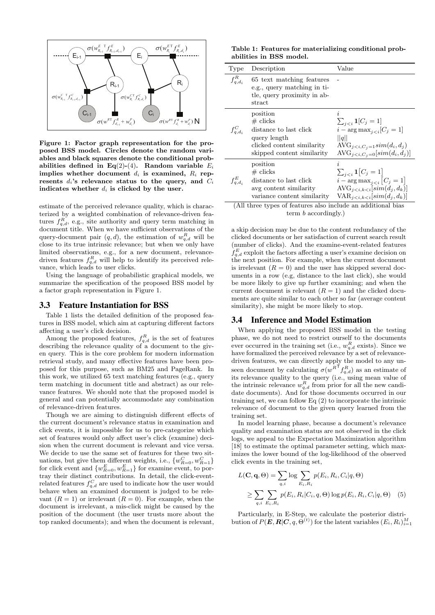

**Figure 1: Factor graph representation for the proposed BSS model. Circles denote the random variables and black squares denote the conditional prob**abilities defined in Eq(2)-(4). Random variable  $E_i$ **implies whether document**  $d_i$  **is examined,**  $R_i$  **rep**resents  $d_i$ **'s relevance status to the query, and**  $C_i$ indicates whether  $d_i$  is clicked by the user.

estimate of the perceived relevance quality, which is characterized by a weighted combination of relevance-driven features  $f_{q,d}^R$ , e.g., site authority and query term matching in document title. When we have sufficient observations of the query-document pair  $(q, d)$ , the estimation of  $w_{q, d}^R$  will be close to its true intrinsic relevance; but when we only have limited observations, e.g., for a new document, relevancedriven features  $f_{q,d}^R$  will help to identify its perceived relevance, which leads to user clicks.

Using the language of probabilistic graphical models, we summarize the specification of the proposed BSS model by a factor graph representation in Figure 1.

#### 3.3 Feature Instantiation for BSS

Table 1 lists the detailed definition of the proposed features in BSS model, which aim at capturing different factors affecting a user's click decision.

Among the proposed features,  $f_{q,d}^R$  is the set of features describing the relevance quality of a document to the given query. This is the core problem for modern information retrieval study, and many effective features have been proposed for this purpose, such as BM25 and PageRank. In this work, we utilized 65 text matching features (e.g., query term matching in document title and abstract) as our relevance features. We should note that the proposed model is general and can potentially accommodate any combination of relevance-driven features.

Though we are aiming to distinguish different effects of the current document's relevance status in examination and click events, it is impossible for us to pre-categorize which set of features would only affect user's click (examine) decision when the current document is relevant and vice versa. We decide to use the same set of features for these two situations, but give them different weights, i.e.,  $\{w_{R=0}^C, w_{R=1}^C\}$ for click event and  $\{w_{R=0}^E, w_{R=1}^E\}$  for examine event, to portray their distinct contributions. In detail, the click-eventrelated features  $f_{q,d}^C$  are used to indicate how the user would behave when an examined document is judged to be relevant  $(R = 1)$  or irrelevant  $(R = 0)$ . For example, when the document is irrelevant, a mis-click might be caused by the position of the document (the user trusts more about the top ranked documents); and when the document is relevant,

**Table 1: Features for materializing conditional probabilities in BSS model.**

| Type                                       | Description                                                                                                                                                              | Value                                                                                                                 |
|--------------------------------------------|--------------------------------------------------------------------------------------------------------------------------------------------------------------------------|-----------------------------------------------------------------------------------------------------------------------|
| $f_{q,d_i}^R$                              | 65 text matching features<br>e.g., query matching in ti-<br>tle, query proximity in ab-<br>stract                                                                        |                                                                                                                       |
| $f_{a,d_i}^C$                              | position<br>$#$ clicks<br>distance to last click<br>query length<br>clicked content similarity<br>skipped content similarity                                             | i<br>$\sum_{ii - \arg \max_{i \leq i} [C_i = 1]  q  AVG_{jAVG_{j$                                                     |
| $f_{a,d_i}^E$<br>$\sqrt{411}$ , $\sqrt{1}$ | position<br>$#$ clicks<br>distance to last click<br>avg content similarity<br>variance content similarity<br>$c \, c \,$ .<br><b>Contract Contract Contract Contract</b> | i.<br>$\sum_{ji - \arg \max_{i < i} [C_i = 1]\text{AVG}_{jVAR_{i \leq i,k \leq i}  sim(d_i,d_k) 1.1111\mathbf{1},,,,$ |

(All three types of features also include an additional bias term *b* accordingly.)

a skip decision may be due to the content redundancy of the clicked documents or her satisfaction of current search result (number of clicks). And the examine-event-related features  $f_{q,d}^E$  exploit the factors affecting a user's examine decision on the next position. For example, when the current document is irrelevant  $(R = 0)$  and the user has skipped several documents in a row (e.g, distance to the last click), she would be more likely to give up further examining; and when the current document is relevant  $(R = 1)$  and the clicked documents are quite similar to each other so far (average content similarity), she might be more likely to stop.

#### 3.4 Inference and Model Estimation

When applying the proposed BSS model in the testing phase, we do not need to restrict ourself to the documents ever occurred in the training set (i.e.,  $w_{q,d}^R$  exists). Since we have formalized the perceived relevance by a set of relevancedriven features, we can directly apply the model to any unseen document by calculating  $\sigma(w^{R}$ <sup>T</sup> $f_{q,d}$ <sup>R</sup> $)$  as an estimate of its relevance quality to the query (i.e., using mean value of the intrinsic relevance  $w_{q,d}^R$  from prior for all the new candidate documents). And for those documents occurred in our training set, we can follow Eq (2) to incorporate the intrinsic relevance of document to the given query learned from the training set.

In model learning phase, because a document's relevance quality and examination status are not observed in the click logs, we appeal to the Expectation Maximization algorithm [18] to estimate the optimal parameter setting, which maximizes the lower bound of the log-likelihood of the observed click events in the training set,

$$
L(\mathbf{C}, \mathbf{q}, \Theta) = \sum_{q,i} \log \sum_{E_i, R_i} p(E_i, R_i, C_i | q, \Theta)
$$
  
 
$$
\geq \sum_{q,i} \sum_{E_i, R_i} p(E_i, R_i | C_i, q, \Theta) \log p(E_i, R_i, C_i | q, \Theta) \quad (5)
$$

Particularly, in E-Step, we calculate the posterior distri- $\mathbf{b}$  bution of  $P(\mathbf{E}, \mathbf{R} | \mathbf{C}, q, \Theta^{(t)})$  for the latent variables  $(E_i, R_i)_{i=1}^M$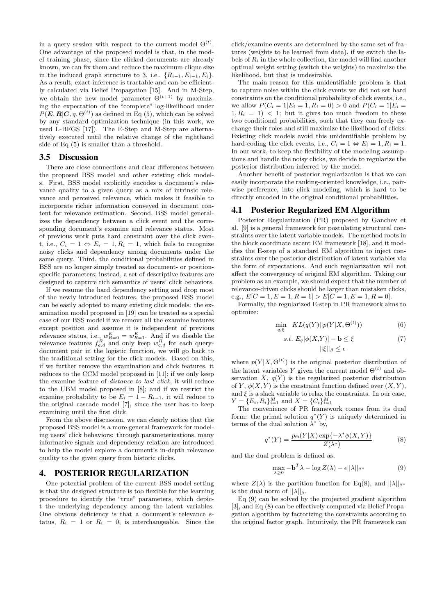in a query session with respect to the current model  $\Theta^{(t)}$ . One advantage of the proposed model is that, in the model training phase, since the clicked documents are already known, we can fix them and reduce the maximum clique size in the induced graph structure to 3, i.e.,  ${R_{i-1}, E_{i-1}, E_i}$ . As a result, exact inference is tractable and can be efficiently calculated via Belief Propagation [15]. And in M-Step, we obtain the new model parameter  $\Theta^{(t+1)}$  by maximizing the expectation of the "complete" log-likelihood under  $P(E, R | C, q, \Theta<sup>(t)</sup>)$  as defined in Eq (5), which can be solved by any standard optimization technique (in this work, we used L-BFGS [17]). The E-Step and M-Step are alternatively executed until the relative change of the righthand side of Eq (5) is smaller than a threshold.

# 3.5 Discussion

There are close connections and clear differences between the proposed BSS model and other existing click models. First, BSS model explicitly encodes a document's relevance quality to a given query as a mix of intrinsic relevance and perceived relevance, which makes it feasible to incorporate richer information conveyed in document content for relevance estimation. Second, BSS model generalizes the dependency between a click event and the corresponding document's examine and relevance status. Most of previous work puts hard constraint over the click event, i.e.,  $C_i = 1 \Leftrightarrow E_i = 1, R_i = 1$ , which fails to recognize noisy clicks and dependency among documents under the same query. Third, the conditional probabilities defined in BSS are no longer simply treated as document- or positionspecific parameters; instead, a set of descriptive features are designed to capture rich semantics of users' click behaviors.

If we resume the hard dependency setting and drop most of the newly introduced features, the proposed BSS model can be easily adopted to many existing click models: the examination model proposed in [19] can be treated as a special case of our BSS model if we remove all the examine features except position and assume it is independent of previous relevance status, i.e.,  $w_{R=0}^E = w_{R=1}^E$ . And if we disable the relevance features  $f_{q,d}^R$  and only keep  $w_{q,d}^R$  for each querydocument pair in the logistic function, we will go back to the traditional setting for the click models. Based on this, if we further remove the examination and click features, it reduces to the CCM model proposed in [11]; if we only keep the examine feature of *distance to last click*, it will reduce to the UBM model proposed in [8]; and if we restrict the examine probability to be  $E_i = 1 - R_{i-1}$ , it will reduce to the original cascade model [7], since the user has to keep examining until the first click.

From the above discussion, we can clearly notice that the proposed BSS model is a more general framework for modeling users' click behaviors: through parameterizations, many informative signals and dependency relation are introduced to help the model explore a document's in-depth relevance quality to the given query from historic clicks.

# 4. POSTERIOR REGULARIZATION

One potential problem of the current BSS model setting is that the designed structure is too flexible for the learning procedure to identify the "true" parameters, which depict the underlying dependency among the latent variables. One obvious deficiency is that a document's relevance status,  $R_i = 1$  or  $R_i = 0$ , is interchangeable. Since the

click/examine events are determined by the same set of features (weights to be learned from data), if we switch the labels of  $R_i$  in the whole collection, the model will find another optimal weight setting (switch the weights) to maximize the likelihood, but that is undesirable.

The main reason for this unidentifiable problem is that to capture noise within the click events we did not set hard constraints on the conditional probability of click events, i.e., we allow  $P(C_i = 1 | E_i = 1, R_i = 0) > 0$  and  $P(C_i = 1 | E_i = 1)$  $1, R_i = 1$  < 1; but it gives too much freedom to these two conditional probabilities, such that they can freely exchange their roles and still maximize the likelihood of clicks. Existing click models avoid this unidentifiable problem by hard-coding the click events, i.e.,  $C_i = 1 \Leftrightarrow E_i = 1, R_i = 1$ . In our work, to keep the flexibility of the modeling assumptions and handle the noisy clicks, we decide to regularize the posterior distribution inferred by the model.

Another benefit of posterior regularization is that we can easily incorporate the ranking-oriented knowledge, i.e., pairwise preference, into click modeling, which is hard to be directly encoded in the original conditional probabilities.

#### 4.1 Posterior Regularized EM Algorithm

Posterior Regularization (PR) proposed by Ganchev et al. [9] is a general framework for postulating structural constraints over the latent variable models. The method roots in the block coordinate ascent EM framework [18], and it modifies the E-step of a standard EM algorithm to inject constraints over the posterior distribution of latent variables via the form of expectations. And such regularization will not affect the convergency of original EM algorithm. Taking our problem as an example, we should expect that the number of relevance-driven clicks should be larger than mistaken clicks, e.g.,  $E[C = 1, E = 1, R = 1] > E[C = 1, E = 1, R = 0].$ 

Formally, the regularized E-step in PR framework aims to optimize:

$$
\min_{q,\xi} \quad KL(q(Y)||p(Y|X,\Theta^{(t)}))\tag{6}
$$

$$
s.t. E_q[\phi(X,Y)] - \mathbf{b} \le \xi \tag{7}
$$

*||ξ||<sup>β</sup> ≤ ϵ*

where  $p(Y|X, \Theta^{(t)})$  is the original posterior distribution of the latent variables *Y* given the current model  $\Theta^{(t)}$  and observation *X*,  $q(Y)$  is the regularized posterior distribution of *Y*,  $\phi(X, Y)$  is the constraint function defined over  $(X, Y)$ , and  $\xi$  is a slack variable to relax the constraints. In our case,  $Y = \{E_i, R_i\}_{i=1}^M$  and  $X = \{C_i\}_{i=1}^M$ 

The convenience of PR framework comes from its dual form: the primal solution  $q^*(Y)$  is uniquely determined in terms of the dual solution  $\lambda^*$  by,

$$
q^*(Y) = \frac{p_{\Theta}(Y|X)\exp\{-\lambda^*\phi(X,Y)\}}{Z(\lambda^*)}
$$
(8)

and the dual problem is defined as,

$$
\max_{\lambda \ge 0} -\mathbf{b}^T \lambda - \log Z(\lambda) - \epsilon ||\lambda||_{\beta^*}
$$
 (9)

where  $Z(\lambda)$  is the partition function for Eq(8), and  $||\lambda||_{\beta^*}$ is the dual norm of  $||\lambda||_{\beta}$ .

Eq (9) can be solved by the projected gradient algorithm [3], and Eq (8) can be effectively computed via Belief Propagation algorithm by factorizing the constraints according to the original factor graph. Intuitively, the PR framework can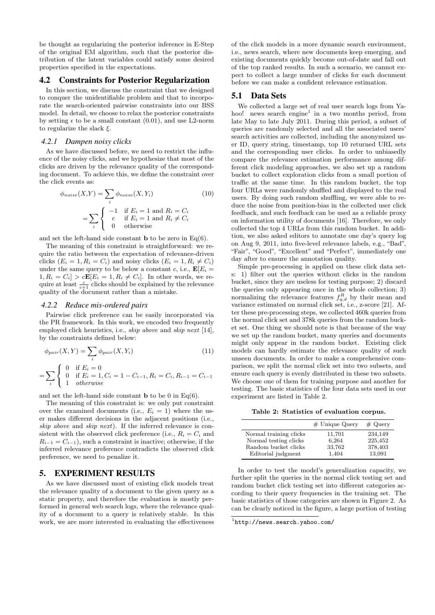be thought as regularizing the posterior inference in E-Step of the original EM algorithm, such that the posterior distribution of the latent variables could satisfy some desired properties specified in the expectations.

# 4.2 Constraints for Posterior Regularization

In this section, we discuss the constraint that we designed to conquer the unidentifiable problem and that to incorporate the search-oriented pairwise constraints into our BSS model. In detail, we choose to relax the posterior constraints by setting  $\epsilon$  to be a small constant (0.01), and use L2-norm to regularize the slack *ξ*.

#### *4.2.1 Dampen noisy clicks*

As we have discussed before, we need to restrict the influence of the noisy clicks, and we hypothesize that most of the clicks are driven by the relevance quality of the corresponding document. To achieve this, we define the constraint over the click events as:

$$
\phi_{noise}(X, Y) = \sum_{i} \phi_{noise}(X, Y_i)
$$
\n
$$
= \sum_{i} \begin{cases}\n-1 & \text{if } E_i = 1 \text{ and } R_i = C_i \\
c & \text{if } E_i = 1 \text{ and } R_i \neq C_i \\
0 & \text{otherwise}\n\end{cases}
$$
\n(10)

and set the left-hand side constant **b** to be zero in  $Eq(6)$ .

The meaning of this constraint is straightforward: we require the ratio between the expectation of relevance-driven clicks  $(E_i = 1, R_i = C_i)$  and noisy clicks  $(E_i = 1, R_i \neq C_i)$ under the same query to be below a constant *c*, i.e.,  $\mathbf{E}[E_i]$  $1, R_i = C_i$   $> cE[E_i = 1, R_i \neq C_i]$ . In other words, we require at least  $\frac{c}{c+1}$  clicks should be explained by the relevance quality of the document rather than a mistake.

#### *4.2.2 Reduce mis-ordered pairs*

*i*

Pairwise click preference can be easily incorporated via the PR framework. In this work, we encoded two frequently employed click heuristics, i.e., *skip above* and *skip next* [14], by the constraints defined below:

$$
\phi_{pair}(X, Y) = \sum_{i} \phi_{pair}(X, Y_i)
$$
\n
$$
= \sum_{i} \begin{cases}\n0 & \text{if } E_i = 0 \\
0 & \text{if } E_i = 1, C_i = 1 - C_{i-1}, R_i = C_i, R_{i-1} = C_{i-1} \\
1 & otherwise\n\end{cases}
$$
\n(11)

and set the left-hand side constant **b** to be 0 in Eq(6).

The meaning of this constraint is: we only put constraint over the examined documents (i.e.,  $E_i = 1$ ) where the user makes different decisions in the adjacent positions (i.e., *skip above* and *skip next*). If the inferred relevance is consistent with the observed click preference (i.e.,  $R_i = C_i$  and  $R_{i-1} = C_{i-1}$ , such a constraint is inactive; otherwise, if the inferred relevance preference contradicts the observed click preference, we need to penalize it.

# 5. EXPERIMENT RESULTS

As we have discussed most of existing click models treat the relevance quality of a document to the given query as a static property, and therefore the evaluation is mostly performed in general web search logs, where the relevance quality of a document to a query is relatively stable. In this work, we are more interested in evaluating the effectiveness of the click models in a more dynamic search environment, i.e., news search, where new documents keep emerging, and existing documents quickly become out-of-date and fall out of the top ranked results. In such a scenario, we cannot expect to collect a large number of clicks for each document before we can make a confident relevance estimation.

## 5.1 Data Sets

We collected a large set of real user search logs from Yahoo! news search engine<sup>1</sup> in a two months period, from late May to late July 2011. During this period, a subset of queries are randomly selected and all the associated users' search activities are collected, including the anonymized user ID, query string, timestamp, top 10 returned URL sets and the corresponding user clicks. In order to unbiasedly compare the relevance estimation performance among different click modeling approaches, we also set up a random bucket to collect exploration clicks from a small portion of traffic at the same time. In this random bucket, the top four URLs were randomly shuffled and displayed to the real users. By doing such random shuffling, we were able to reduce the noise from position-bias in the collected user click feedback, and such feedback can be used as a reliable proxy on information utility of documents [16]. Therefore, we only collected the top 4 URLs from this random bucket. In addition, we also asked editors to annotate one day's query log on Aug 9, 2011, into five-level relevance labels, e.g., "Bad", "Fair", "Good", "Excellent" and "Perfect", immediately one day after to ensure the annotation quality.

Simple pre-processing is applied on these click data sets: 1) filter out the queries without clicks in the random bucket, since they are useless for testing purpose; 2) discard the queries only appearing once in the whole collection; 3) normalizing the relevance features  $f_{q,d}^R$  by their mean and variance estimated on normal click set, i.e., z-score [21]. After these pre-processing steps, we collected 460k queries from the normal click set and 378k queries from the random bucket set. One thing we should note is that because of the way we set up the random bucket, many queries and documents might only appear in the random bucket. Existing click models can hardly estimate the relevance quality of such unseen documents. In order to make a comprehensive comparison, we split the normal click set into two subsets, and ensure each query is evenly distributed in these two subsets. We choose one of them for training purpose and another for testing. The basic statistics of the four data sets used in our experiment are listed in Table 2.

**Table 2: Statistics of evaluation corpus.**

|                                                                         | $#$ Unique Query          | $#$ Query                     |
|-------------------------------------------------------------------------|---------------------------|-------------------------------|
| Normal training clicks<br>Normal testing clicks<br>Random bucket clicks | 11,701<br>6,264<br>33,762 | 234.149<br>225,452<br>378,403 |
| Editorial judgment                                                      | 1,404                     | 13,091                        |

In order to test the model's generalization capacity, we further split the queries in the normal click testing set and random bucket click testing set into different categories according to their query frequencies in the training set. The basic statistics of those categories are shown in Figure 2. As can be clearly noticed in the figure, a large portion of testing

<sup>1</sup> http://news.search.yahoo.com/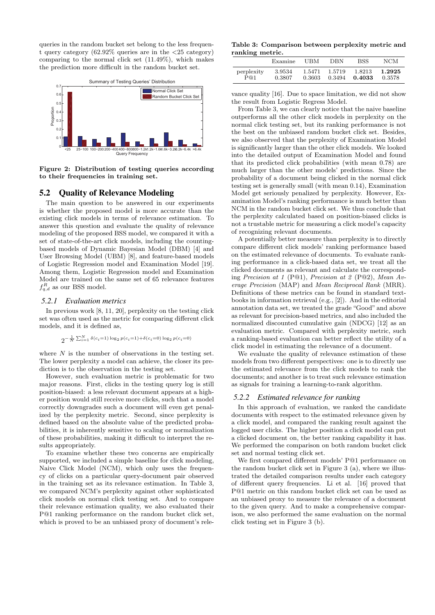queries in the random bucket set belong to the less frequent query category (62.92% queries are in the *<*25 category) comparing to the normal click set (11.49%), which makes the prediction more difficult in the random bucket set.



**Figure 2: Distribution of testing queries according to their frequencies in training set.**

# 5.2 Quality of Relevance Modeling

The main question to be answered in our experiments is whether the proposed model is more accurate than the existing click models in terms of relevance estimation. To answer this question and evaluate the quality of relevance modeling of the proposed BSS model, we compared it with a set of state-of-the-art click models, including the countingbased models of Dynamic Bayesian Model (DBM) [4] and User Browsing Model (UBM) [8], and feature-based models of Logistic Regression model and Examination Model [19]. Among them, Logistic Regression model and Examination Model are trained on the same set of 65 relevance features  $f_{q,d}^R$  as our BSS model.

#### *5.2.1 Evaluation metrics*

In previous work [8, 11, 20], perplexity on the testing click set was often used as the metric for comparing different click models, and it is defined as,

$$
2^{-\frac{1}{N}\sum_{i=1}^{N}\delta(c_i=1)\log_2 p(c_i=1)+\delta(c_i=0)\log_2 p(c_i=0)}
$$

where *N* is the number of observations in the testing set. The lower perplexity a model can achieve, the closer its prediction is to the observation in the testing set.

However, such evaluation metric is problematic for two major reasons. First, clicks in the testing query log is still position-biased: a less relevant document appears at a higher position would still receive more clicks, such that a model correctly downgrades such a document will even get penalized by the perplexity metric. Second, since perplexity is defined based on the absolute value of the predicted probabilities, it is inherently sensitive to scaling or normalization of these probabilities, making it difficult to interpret the results appropriately.

To examine whether these two concerns are empirically supported, we included a simple baseline for click modeling, Naive Click Model (NCM), which only uses the frequency of clicks on a particular query-document pair observed in the training set as its relevance estimation. In Table 3, we compared NCM's perplexity against other sophisticated click models on normal click testing set. And to compare their relevance estimation quality, we also evaluated their P@1 ranking performance on the random bucket click set, which is proved to be an unbiased proxy of document's rele-

**Table 3: Comparison between perplexity metric and ranking metric.**

|            | Examine | UBM    | DBN    | <b>BSS</b> | NCM    |
|------------|---------|--------|--------|------------|--------|
| perplexity | 3.9534  | 1.5471 | 1.5719 | 1.8213     | 1.2925 |
| P@1        | 0.3807  | 0.3603 | 0.3494 | 0.4033     | 0.3578 |

vance quality [16]. Due to space limitation, we did not show the result from Logistic Regress Model.

From Table 3, we can clearly notice that the naive baseline outperforms all the other click models in perplexity on the normal click testing set, but its ranking performance is not the best on the unbiased random bucket click set. Besides, we also observed that the perplexity of Examination Model is significantly larger than the other click models. We looked into the detailed output of Examination Model and found that its predicted click probabilities (with mean 0.78) are much larger than the other models' predictions. Since the probability of a document being clicked in the normal click testing set is generally small (with mean 0.14), Examination Model get seriously penalized by perplexity. However, Examination Model's ranking performance is much better than NCM in the random bucket click set. We thus conclude that the perplexity calculated based on position-biased clicks is not a trustable metric for measuring a click model's capacity of recognizing relevant documents.

A potentially better measure than perplexity is to directly compare different click models' ranking performance based on the estimated relevance of documents. To evaluate ranking performance in a click-based data set, we treat all the clicked documents as relevant and calculate the corresponding *Precision at 1* (P@1), *Precision at 2* (P@2), *Mean Average Precision* (MAP) and *Mean Reciprocal Rank* (MRR). Definitions of these metrics can be found in standard textbooks in information retrieval (e.g., [2]). And in the editorial annotation data set, we treated the grade "Good" and above as relevant for precision-based metrics, and also included the normalized discounted cumulative gain (NDCG) [12] as an evaluation metric. Compared with perplexity metric, such a ranking-based evaluation can better reflect the utility of a click model in estimating the relevance of a document.

We evaluate the quality of relevance estimation of these models from two different perspectives: one is to directly use the estimated relevance from the click models to rank the documents; and another is to treat such relevance estimation as signals for training a learning-to-rank algorithm.

#### *5.2.2 Estimated relevance for ranking*

In this approach of evaluation, we ranked the candidate documents with respect to the estimated relevance given by a click model, and compared the ranking result against the logged user clicks. The higher position a click model can put a clicked document on, the better ranking capability it has. We performed the comparison on both random bucket click set and normal testing click set.

We first compared different models' P@1 performance on the random bucket click set in Figure 3 (a), where we illustrated the detailed comparison results under each category of different query frequencies. Li et al. [16] proved that P@1 metric on this random bucket click set can be used as an unbiased proxy to measure the relevance of a document to the given query. And to make a comprehensive comparison, we also performed the same evaluation on the normal click testing set in Figure 3 (b).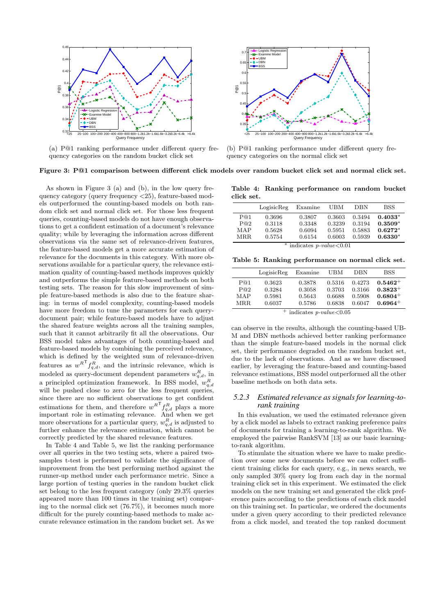

(a) P@1 ranking performance under different query frequency categories on the random bucket click set



(b) P@1 ranking performance under different query frequency categories on the normal click set

# **Figure 3: P@1 comparison between different click models over random bucket click set and normal click set.**

As shown in Figure 3 (a) and (b), in the low query frequency category (query frequency *<*25), feature-based models outperformed the counting-based models on both random click set and normal click set. For those less frequent queries, counting-based models do not have enough observations to get a confident estimation of a document's relevance quality; while by leveraging the information across different observations via the same set of relevance-driven features, the feature-based models get a more accurate estimation of relevance for the documents in this category. With more observations available for a particular query, the relevance estimation quality of counting-based methods improves quickly and outperforms the simple feature-based methods on both testing sets. The reason for this slow improvement of simple feature-based methods is also due to the feature sharing: in terms of model complexity, counting-based models have more freedom to tune the parameters for each querydocument pair; while feature-based models have to adjust the shared feature weights across all the training samples, such that it cannot arbitrarily fit all the observations. Our BSS model takes advantages of both counting-based and feature-based models by combining the perceived relevance, which is defined by the weighted sum of relevance-driven features as  $w^{R^T} f_{q,d}^R$ , and the intrinsic relevance, which is modeled as query-document dependent parameters  $w_{q,d}^R$ , in a principled optimization framework. In BSS model,  $w_{q,d}^R$ will be pushed close to zero for the less frequent queries, since there are no sufficient observations to get confident estimations for them, and therefore  $w^{R}$ <sup>T</sup> $f_{q,d}$ <sup>R</sup> plays a more important role in estimating relevance. And when we get more observations for a particular query,  $w_{q,d}^R$  is adjusted to further enhance the relevance estimation, which cannot be correctly predicted by the shared relevance features.

In Table 4 and Table 5, we list the ranking performance over all queries in the two testing sets, where a paired twosamples t-test is performed to validate the significance of improvement from the best performing method against the runner-up method under each performance metric. Since a large portion of testing queries in the random bucket click set belong to the less frequent category (only 29.3% queries appeared more than 100 times in the training set) comparing to the normal click set (76.7%), it becomes much more difficult for the purely counting-based methods to make accurate relevance estimation in the random bucket set. As we

**Table 4: Ranking performance on random bucket click set.**

|       | LogisicReg | Examine | UBM    | DBN    | <b>BSS</b> |
|-------|------------|---------|--------|--------|------------|
| P@1   | 0.3696     | 0.3807  | 0.3603 | 0.3494 | $0.4033*$  |
| P@2   | 0.3118     | 0.3348  | 0.3239 | 0.3194 | $0.3509*$  |
| MAP   | 0.5628     | 0.6094  | 0.5951 | 0.5883 | $0.6272*$  |
| MR.R. | 0.5754     | 0.6154  | 0.6003 | 0.5939 | $0.6330*$  |

*<sup>∗</sup>* indicates *p-value<*0.01

**Table 5: Ranking performance on normal click set.**

|      | LogisicReg | Examine                               | UBM    | <b>DBN</b> | <b>BSS</b>   |
|------|------------|---------------------------------------|--------|------------|--------------|
| P@1  | 0.3623     | 0.3878                                | 0.5316 | 0.4273     | $0.5462+$    |
| P@2  | 0.3284     | 0.3058                                | 0.3703 | 0.3166     | $0.3823^{+}$ |
| MAP  | 0.5981     | 0.5643                                | 0.6688 | 0.5908     | $0.6804+$    |
| MRR. | 0.6037     | 0.5786                                | 0.6838 | 0.6047     | $0.6964+$    |
|      |            | $\perp$ . It is a solution of $\perp$ |        |            |              |

<sup>+</sup> indicates *p-value<*0.05

can observe in the results, although the counting-based UB-M and DBN methods achieved better ranking performance than the simple feature-based models in the normal click set, their performance degraded on the random bucket set, due to the lack of observations. And as we have discussed earlier, by leveraging the feature-based and counting-based relevance estimations, BSS model outperformed all the other baseline methods on both data sets.

#### *5.2.3 Estimated relevance as signals for learning-torank training*

In this evaluation, we used the estimated relevance given by a click model as labels to extract ranking preference pairs of documents for training a learning-to-rank algorithm. We employed the pairwise RankSVM [13] as our basic learningto-rank algorithm.

To stimulate the situation where we have to make prediction over some new documents before we can collect sufficient training clicks for each query, e.g., in news search, we only sampled 30% query log from each day in the normal training click set in this experiment. We estimated the click models on the new training set and generated the click preference pairs according to the predictions of each click model on this training set. In particular, we ordered the documents under a given query according to their predicted relevance from a click model, and treated the top ranked document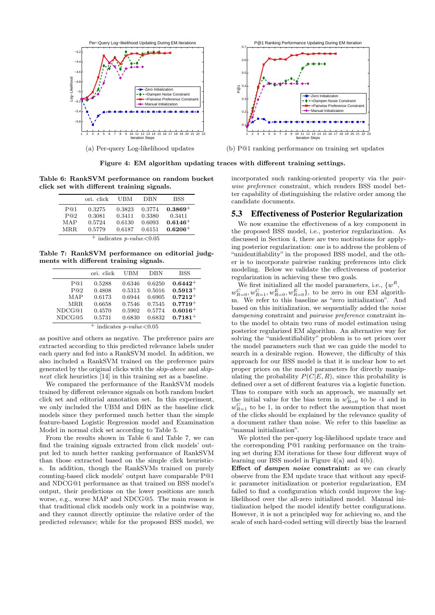

**Figure 4: EM algorithm updating traces with different training settings.**

**Table 6: RankSVM performance on random bucket click set with different training signals.**

|                                                 | ori. click                 | UBM                        | <b>DBN</b>                 | <b>BSS</b>                        |  |
|-------------------------------------------------|----------------------------|----------------------------|----------------------------|-----------------------------------|--|
| P@1<br>P@2<br>MAP                               | 0.3275<br>0.3081<br>0.5724 | 0.3823<br>0.3411<br>0.6130 | 0.3774<br>0.3380<br>0.6093 | $0.3869+$<br>0.3411<br>$0.6146 +$ |  |
| $0.6206+$<br>MRR.<br>0.5779<br>0.6187<br>0.6151 |                            |                            |                            |                                   |  |
| $^+$ indicates <i>p-value</i> < 0.05            |                            |                            |                            |                                   |  |

**Table 7: RankSVM performance on editorial judgments with different training signals.**

|        | ori. click | UBM    | DBN    | <b>BSS</b>   |
|--------|------------|--------|--------|--------------|
| P@1    | 0.5288     | 0.6346 | 0.6250 | $0.6442^{+}$ |
| P@2    | 0.4808     | 0.5313 | 0.5016 | $0.5913+$    |
| MAP    | 0.6173     | 0.6944 | 0.6905 | $0.7212 +$   |
| MRR.   | 0.6658     | 0.7546 | 0.7545 | $0.7719+$    |
| NDCG@1 | 0.4570     | 0.5902 | 0.5774 | $0.6016+$    |
| NDCG@5 | 0.5731     | 0.6830 | 0.6832 | $0.7181 +$   |
|        |            |        |        |              |

<sup>+</sup> indicates *p-value<*0.05

as positive and others as negative. The preference pairs are extracted according to this predicted relevance labels under each query and fed into a RankSVM model. In addition, we also included a RankSVM trained on the preference pairs generated by the original clicks with the *skip-above* and *skipnext* click heuristics [14] in this training set as a baseline.

We compared the performance of the RankSVM models trained by different relevance signals on both random bucket click set and editorial annotation set. In this experiment, we only included the UBM and DBN as the baseline click models since they performed much better than the simple feature-based Logistic Regression model and Examination Model in normal click set according to Table 5.

From the results shown in Table 6 and Table 7, we can find the training signals extracted from click models' output led to much better ranking performance of RankSVM than those extracted based on the simple click heuristics. In addition, though the RankSVMs trained on purely counting-based click models' output have comparable P@1 and NDCG@1 performance as that trained on BSS model's output, their predictions on the lower positions are much worse, e.g., worse MAP and NDCG@5. The main reason is that traditional click models only work in a pointwise way, and they cannot directly optimize the relative order of the predicted relevance; while for the proposed BSS model, we

incorporated such ranking-oriented property via the *pairwise preference* constraint, which renders BSS model better capability of distinguishing the relative order among the candidate documents.

#### 5.3 Effectiveness of Posterior Regularization

We now examine the effectiveness of a key component in the proposed BSS model, i.e., posterior regularization. As discussed in Section 4, there are two motivations for applying posterior regularization: one is to address the problem of "unidentifiability" in the proposed BSS model, and the other is to incorporate pairwise ranking preferences into click modeling. Below we validate the effectiveness of posterior regularization in achieving these two goals.

We first initialized all the model parameters, i.e.,  $\{w^R,$  $w_{R=0}^C, w_{R=1}^C, w_{R=0}^E, w_{R=0}^E\}$ , to be zero in our EM algorithm. We refer to this baseline as "zero initialization". And based on this initialization, we sequentially added the *noise dampening* constraint and *pairwise preference* constraint into the model to obtain two runs of model estimation using posterior regularized EM algorithm. An alternative way for solving the "unidentifiability" problem is to set priors over the model parameters such that we can guide the model to search in a desirable region. However, the difficulty of this approach for our BSS model is that it is unclear how to set proper priors on the model parameters for directly manipulating the probability  $P(C|E, R)$ , since this probability is defined over a set of different features via a logistic function. Thus to compare with such an approach, we manually set the initial value for the bias term in  $w_{R=0}^C$  to be -1 and in  $w_{R=1}^C$  to be 1, in order to reflect the assumption that most of the clicks should be explained by the relevance quality of a document rather than noise. We refer to this baseline as "manual initialization".

We plotted the per-query log-likelihood update trace and the corresponding P@1 ranking performance on the training set during EM iterations for these four different ways of learning our BSS model in Figure 4(a) and 4(b).

**Effect of** *dampen noise* **constraint:** as we can clearly observe from the EM update trace that without any specific parameter initialization or posterior regularization, EM failed to find a configuration which could improve the loglikelihood over the all-zero initialized model. Manual initialization helped the model identify better configurations. However, it is not a principled way for achieving so, and the scale of such hard-coded setting will directly bias the learned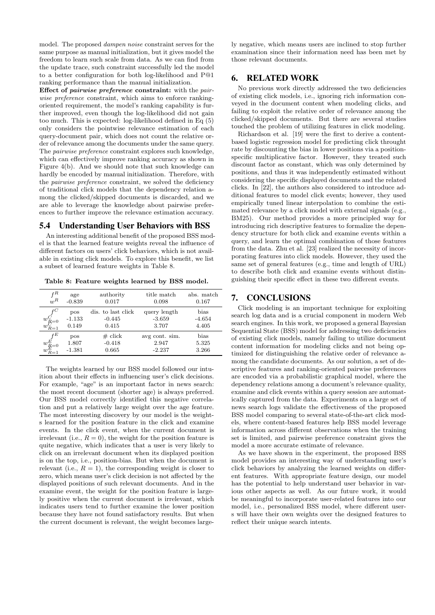model. The proposed *dampen noise* constraint serves for the same purpose as manual initialization, but it gives model the freedom to learn such scale from data. As we can find from the update trace, such constraint successfully led the model to a better configuration for both log-likelihood and P@1 ranking performance than the manual initialization.

**Effect of** *pairwise preference* **constraint:** with the *pairwise preference* constraint, which aims to enforce rankingoriented requirement, the model's ranking capability is further improved, even though the log-likelihood did not gain too much. This is expected: log-likelihood defined in Eq (5) only considers the pointwise relevance estimation of each query-document pair, which does not count the relative order of relevance among the documents under the same query. The *pairwise preference* constraint explores such knowledge, which can effectively improve ranking accuracy as shown in Figure 4(b). And we should note that such knowledge can hardly be encoded by manual initialization. Therefore, with the *pairwise preference* constraint, we solved the deficiency of traditional click models that the dependency relation among the clicked/skipped documents is discarded, and we are able to leverage the knowledge about pairwise preferences to further improve the relevance estimation accuracy.

## 5.4 Understanding User Behaviors with BSS

An interesting additional benefit of the proposed BSS model is that the learned feature weights reveal the influence of different factors on users' click behaviors, which is not available in existing click models. To explore this benefit, we list a subset of learned feature weights in Table 8.

**Table 8: Feature weights learned by BSS model.**

| $f^R$<br>$w^R$                                                      | age<br>$-0.839$          | authority<br>0.017                      | title match<br>0.098                | abs. match<br>0.167       |
|---------------------------------------------------------------------|--------------------------|-----------------------------------------|-------------------------------------|---------------------------|
| $\boldsymbol{f}^C$<br>$w^C_{R=0}\over w^C_{R=1}$                    | pos<br>$-1.133$<br>0.149 | dis. to last click<br>$-0.445$<br>0.415 | query length<br>$-3.659$<br>3.707   | bias<br>$-4.654$<br>4.405 |
| $f^E$<br>$\begin{smallmatrix} w_E^E=0\ w_{R=1}^E \end{smallmatrix}$ | pos<br>1.807<br>$-1.381$ | $\#$ click<br>$-0.418$<br>0.665         | avg cont. sim.<br>2.947<br>$-2.237$ | bias<br>5.325<br>3.266    |

The weights learned by our BSS model followed our intuition about their effects in influencing user's click decisions. For example, "age" is an important factor in news search: the most recent document (shorter age) is always preferred. Our BSS model correctly identified this negative correlation and put a relatively large weight over the age feature. The most interesting discovery by our model is the weights learned for the position feature in the click and examine events. In the click event, when the current document is irrelevant (i.e.,  $R = 0$ ), the weight for the position feature is quite negative, which indicates that a user is very likely to click on an irrelevant document when its displayed position is on the top, i.e., position-bias. But when the document is relevant (i.e.,  $R = 1$ ), the corresponding weight is closer to zero, which means user's click decision is not affected by the displayed positions of such relevant documents. And in the examine event, the weight for the position feature is largely positive when the current document is irrelevant, which indicates users tend to further examine the lower position because they have not found satisfactory results. But when the current document is relevant, the weight becomes largely negative, which means users are inclined to stop further examination since their information need has been met by those relevant documents.

# 6. RELATED WORK

No previous work directly addressed the two deficiencies of existing click models, i.e., ignoring rich information conveyed in the document content when modeling clicks, and failing to exploit the relative order of relevance among the clicked/skipped documents. But there are several studies touched the problem of utilizing features in click modeling.

Richardson et al. [19] were the first to derive a contentbased logistic regression model for predicting click throught rate by discounting the bias in lower positions via a positionspecific multiplicative factor. However, they treated such discount factor as constant, which was only determined by positions, and thus it was independently estimated without considering the specific displayed documents and the related clicks. In [22], the authors also considered to introduce additional features to model click events; however, they used empirically tuned linear interpolation to combine the estimated relevance by a click model with external signals (e.g., BM25). Our method provides a more principled way for introducing rich descriptive features to formalize the dependency structure for both click and examine events within a query, and learn the optimal combination of those features from the data. Zhu et al. [23] realized the necessity of incorporating features into click models. However, they used the same set of general features (e.g., time and length of URL) to describe both click and examine events without distinguishing their specific effect in these two different events.

# 7. CONCLUSIONS

Click modeling is an important technique for exploiting search log data and is a crucial component in modern Web search engines. In this work, we proposed a general Bayesian Sequential State (BSS) model for addressing two deficiencies of existing click models, namely failing to utilize document content information for modeling clicks and not being optimized for distinguishing the relative order of relevance among the candidate documents. As our solution, a set of descriptive features and ranking-oriented pairwise preferences are encoded via a probabilistic graphical model, where the dependency relations among a document's relevance quality, examine and click events within a query session are automatically captured from the data. Experiments on a large set of news search logs validate the effectiveness of the proposed BSS model comparing to several state-of-the-art click models, where content-based features help BSS model leverage information across different observations when the training set is limited, and pairwise preference constraint gives the model a more accurate estimate of relevance.

As we have shown in the experiment, the proposed BSS model provides an interesting way of understanding user's click behaviors by analyzing the learned weights on different features. With appropriate feature design, our model has the potential to help understand user behavior in various other aspects as well. As our future work, it would be meaningful to incorporate user-related features into our model, i.e., personalized BSS model, where different users will have their own weights over the designed features to reflect their unique search intents.